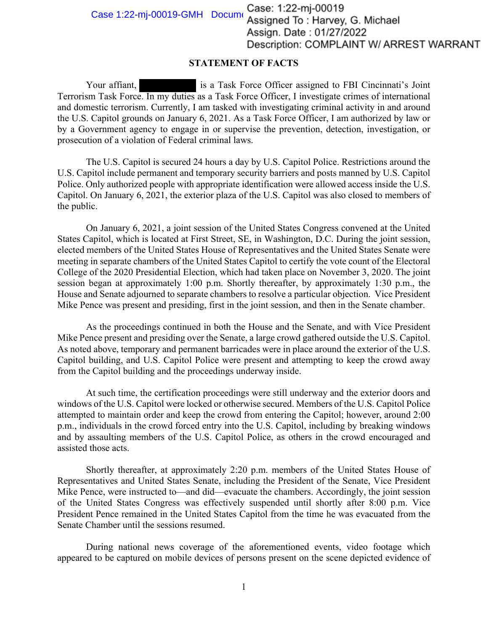Case 1:22-mj-00019-GMH Document Case: 1:22-mj-00019<br>Assigned To: Harvey, G. Michael Assign. Date: 01/27/2022 Description: COMPLAINT W/ ARREST WARRANT

## **STATEMENT OF FACTS**

Your affiant, is a Task Force Officer assigned to FBI Cincinnati's Joint Terrorism Task Force. In my duties as a Task Force Officer, I investigate crimes of international and domestic terrorism. Currently, I am tasked with investigating criminal activity in and around the U.S. Capitol grounds on January 6, 2021. As a Task Force Officer, I am authorized by law or by a Government agency to engage in or supervise the prevention, detection, investigation, or prosecution of a violation of Federal criminal laws.

The U.S. Capitol is secured 24 hours a day by U.S. Capitol Police. Restrictions around the U.S. Capitol include permanent and temporary security barriers and posts manned by U.S. Capitol Police. Only authorized people with appropriate identification were allowed access inside the U.S. Capitol. On January 6, 2021, the exterior plaza of the U.S. Capitol was also closed to members of the public.

On January 6, 2021, a joint session of the United States Congress convened at the United States Capitol, which is located at First Street, SE, in Washington, D.C. During the joint session, elected members of the United States House of Representatives and the United States Senate were meeting in separate chambers of the United States Capitol to certify the vote count of the Electoral College of the 2020 Presidential Election, which had taken place on November 3, 2020. The joint session began at approximately 1:00 p.m. Shortly thereafter, by approximately 1:30 p.m., the House and Senate adjourned to separate chambers to resolve a particular objection. Vice President Mike Pence was present and presiding, first in the joint session, and then in the Senate chamber.

As the proceedings continued in both the House and the Senate, and with Vice President Mike Pence present and presiding over the Senate, a large crowd gathered outside the U.S. Capitol. As noted above, temporary and permanent barricades were in place around the exterior of the U.S. Capitol building, and U.S. Capitol Police were present and attempting to keep the crowd away from the Capitol building and the proceedings underway inside.

At such time, the certification proceedings were still underway and the exterior doors and windows of the U.S. Capitol were locked or otherwise secured. Members of the U.S. Capitol Police attempted to maintain order and keep the crowd from entering the Capitol; however, around 2:00 p.m., individuals in the crowd forced entry into the U.S. Capitol, including by breaking windows and by assaulting members of the U.S. Capitol Police, as others in the crowd encouraged and assisted those acts.

Shortly thereafter, at approximately 2:20 p.m. members of the United States House of Representatives and United States Senate, including the President of the Senate, Vice President Mike Pence, were instructed to—and did—evacuate the chambers. Accordingly, the joint session of the United States Congress was effectively suspended until shortly after 8:00 p.m. Vice President Pence remained in the United States Capitol from the time he was evacuated from the Senate Chamber until the sessions resumed.

During national news coverage of the aforementioned events, video footage which appeared to be captured on mobile devices of persons present on the scene depicted evidence of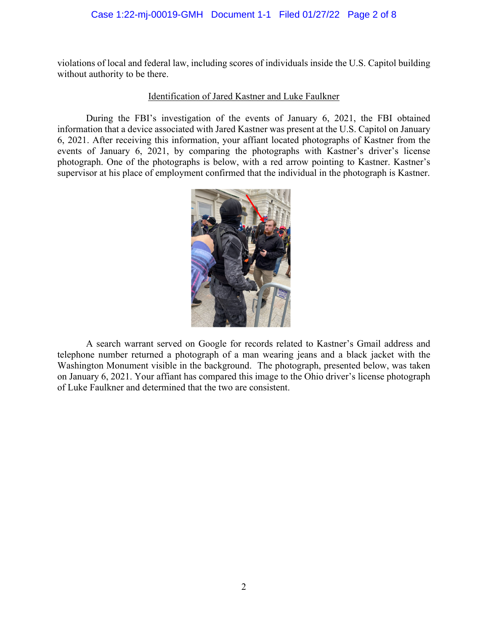## Case 1:22-mj-00019-GMH Document 1-1 Filed 01/27/22 Page 2 of 8

violations of local and federal law, including scores of individuals inside the U.S. Capitol building without authority to be there.

## Identification of Jared Kastner and Luke Faulkner

During the FBI's investigation of the events of January 6, 2021, the FBI obtained information that a device associated with Jared Kastner was present at the U.S. Capitol on January 6, 2021. After receiving this information, your affiant located photographs of Kastner from the events of January 6, 2021, by comparing the photographs with Kastner's driver's license photograph. One of the photographs is below, with a red arrow pointing to Kastner. Kastner's supervisor at his place of employment confirmed that the individual in the photograph is Kastner.



A search warrant served on Google for records related to Kastner's Gmail address and telephone number returned a photograph of a man wearing jeans and a black jacket with the Washington Monument visible in the background. The photograph, presented below, was taken on January 6, 2021. Your affiant has compared this image to the Ohio driver's license photograph of Luke Faulkner and determined that the two are consistent.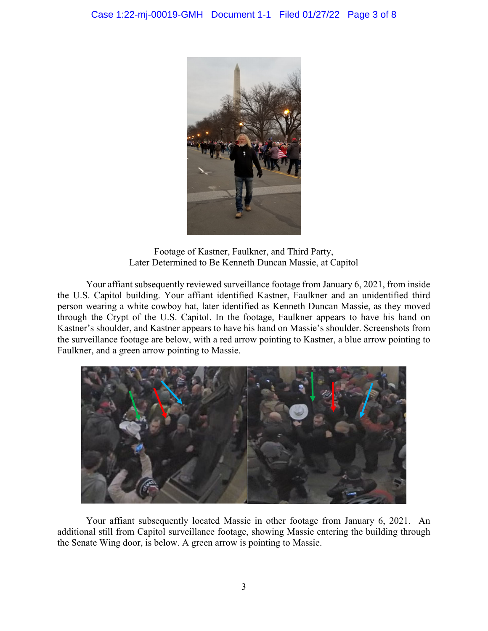

Footage of Kastner, Faulkner, and Third Party, Later Determined to Be Kenneth Duncan Massie, at Capitol

 Your affiant subsequently reviewed surveillance footage from January 6, 2021, from inside the U.S. Capitol building. Your affiant identified Kastner, Faulkner and an unidentified third person wearing a white cowboy hat, later identified as Kenneth Duncan Massie, as they moved through the Crypt of the U.S. Capitol. In the footage, Faulkner appears to have his hand on Kastner's shoulder, and Kastner appears to have his hand on Massie's shoulder. Screenshots from the surveillance footage are below, with a red arrow pointing to Kastner, a blue arrow pointing to Faulkner, and a green arrow pointing to Massie.



Your affiant subsequently located Massie in other footage from January 6, 2021. An additional still from Capitol surveillance footage, showing Massie entering the building through the Senate Wing door, is below. A green arrow is pointing to Massie.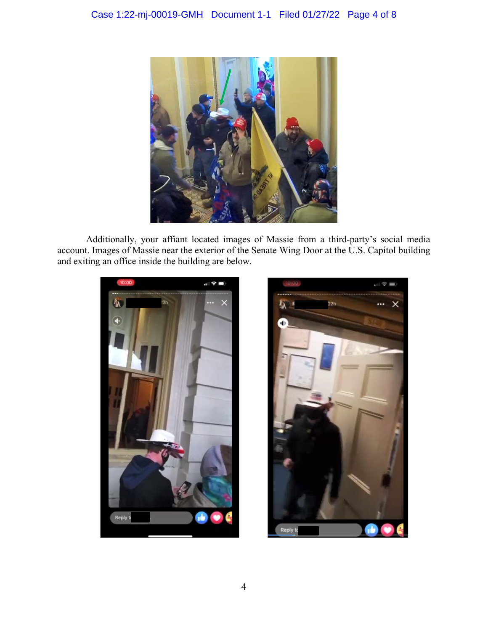

Additionally, your affiant located images of Massie from a third-party's social media account. Images of Massie near the exterior of the Senate Wing Door at the U.S. Capitol building and exiting an office inside the building are below.



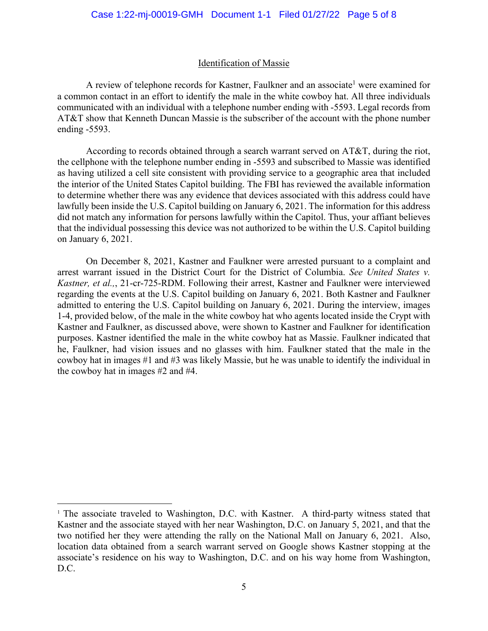## Identification of Massie

A review of telephone records for Kastner, Faulkner and an associate<sup>1</sup> were examined for a common contact in an effort to identify the male in the white cowboy hat. All three individuals communicated with an individual with a telephone number ending with -5593. Legal records from AT&T show that Kenneth Duncan Massie is the subscriber of the account with the phone number ending -5593.

According to records obtained through a search warrant served on AT&T, during the riot, the cellphone with the telephone number ending in -5593 and subscribed to Massie was identified as having utilized a cell site consistent with providing service to a geographic area that included the interior of the United States Capitol building. The FBI has reviewed the available information to determine whether there was any evidence that devices associated with this address could have lawfully been inside the U.S. Capitol building on January 6, 2021. The information for this address did not match any information for persons lawfully within the Capitol. Thus, your affiant believes that the individual possessing this device was not authorized to be within the U.S. Capitol building on January 6, 2021.

On December 8, 2021, Kastner and Faulkner were arrested pursuant to a complaint and arrest warrant issued in the District Court for the District of Columbia. *See United States v. Kastner, et al.,*, 21-cr-725-RDM. Following their arrest, Kastner and Faulkner were interviewed regarding the events at the U.S. Capitol building on January 6, 2021. Both Kastner and Faulkner admitted to entering the U.S. Capitol building on January 6, 2021. During the interview, images 1-4, provided below, of the male in the white cowboy hat who agents located inside the Crypt with Kastner and Faulkner, as discussed above, were shown to Kastner and Faulkner for identification purposes. Kastner identified the male in the white cowboy hat as Massie. Faulkner indicated that he, Faulkner, had vision issues and no glasses with him. Faulkner stated that the male in the cowboy hat in images #1 and #3 was likely Massie, but he was unable to identify the individual in the cowboy hat in images #2 and #4.

<sup>&</sup>lt;sup>1</sup> The associate traveled to Washington, D.C. with Kastner. A third-party witness stated that Kastner and the associate stayed with her near Washington, D.C. on January 5, 2021, and that the two notified her they were attending the rally on the National Mall on January 6, 2021. Also, location data obtained from a search warrant served on Google shows Kastner stopping at the associate's residence on his way to Washington, D.C. and on his way home from Washington, D.C.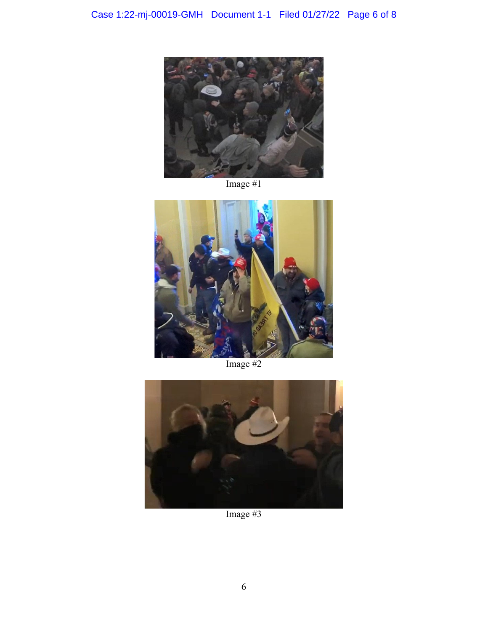

Image #1



Image #2



Image #3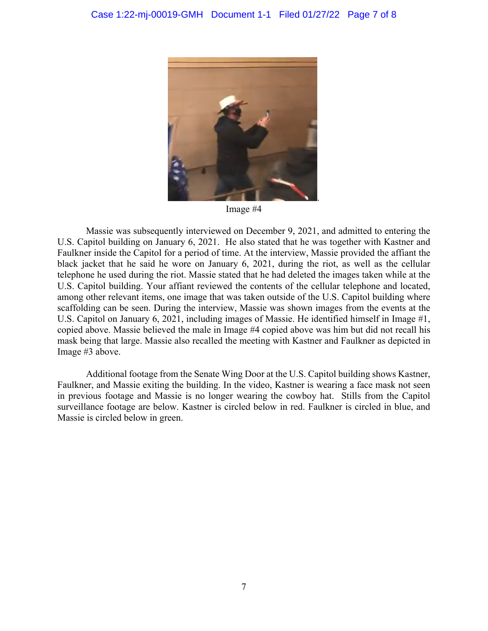

Image #4

Massie was subsequently interviewed on December 9, 2021, and admitted to entering the U.S. Capitol building on January 6, 2021. He also stated that he was together with Kastner and Faulkner inside the Capitol for a period of time. At the interview, Massie provided the affiant the black jacket that he said he wore on January 6, 2021, during the riot, as well as the cellular telephone he used during the riot. Massie stated that he had deleted the images taken while at the U.S. Capitol building. Your affiant reviewed the contents of the cellular telephone and located, among other relevant items, one image that was taken outside of the U.S. Capitol building where scaffolding can be seen. During the interview, Massie was shown images from the events at the U.S. Capitol on January 6, 2021, including images of Massie. He identified himself in Image #1, copied above. Massie believed the male in Image #4 copied above was him but did not recall his mask being that large. Massie also recalled the meeting with Kastner and Faulkner as depicted in Image #3 above.

Additional footage from the Senate Wing Door at the U.S. Capitol building shows Kastner, Faulkner, and Massie exiting the building. In the video, Kastner is wearing a face mask not seen in previous footage and Massie is no longer wearing the cowboy hat. Stills from the Capitol surveillance footage are below. Kastner is circled below in red. Faulkner is circled in blue, and Massie is circled below in green.